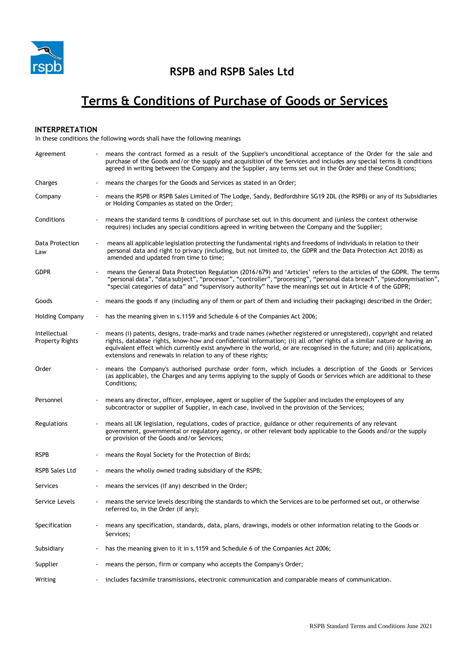

## **RSPB and RSPB Sales Ltd**

# **Terms & Conditions of Purchase of Goods or Services**

## **INTERPRETATION**

In these conditions the following words shall have the following meanings

| Agreement                              |                          | means the contract formed as a result of the Supplier's unconditional acceptance of the Order for the sale and<br>purchase of the Goods and/or the supply and acquisition of the Services and includes any special terms & conditions<br>agreed in writing between the Company and the Supplier, any terms set out in the Order and these Conditions;                                                                                   |
|----------------------------------------|--------------------------|-----------------------------------------------------------------------------------------------------------------------------------------------------------------------------------------------------------------------------------------------------------------------------------------------------------------------------------------------------------------------------------------------------------------------------------------|
| Charges                                |                          | means the charges for the Goods and Services as stated in an Order;                                                                                                                                                                                                                                                                                                                                                                     |
| Company                                |                          | means the RSPB or RSPB Sales Limited of The Lodge, Sandy, Bedfordshire SG19 2DL (the RSPB) or any of its Subsidiaries<br>or Holding Companies as stated on the Order;                                                                                                                                                                                                                                                                   |
| Conditions                             |                          | means the standard terms & conditions of purchase set out in this document and (unless the context otherwise<br>requires) includes any special conditions agreed in writing between the Company and the Supplier;                                                                                                                                                                                                                       |
| Data Protection<br>Law                 |                          | means all applicable legislation protecting the fundamental rights and freedoms of individuals in relation to their<br>personal data and right to privacy (including, but not limited to, the GDPR and the Data Protection Act 2018) as<br>amended and updated from time to time;                                                                                                                                                       |
| <b>GDPR</b>                            |                          | means the General Data Protection Regulation (2016/679) and 'Articles' refers to the articles of the GDPR. The terms<br>"personal data", "data subject", "processor", "controller", "processing", "personal data breach", "pseudonymisation",<br>"special categories of data" and "supervisory authority" have the meanings set out in Article 4 of the GDPR;                                                                           |
| Goods                                  |                          | means the goods if any (including any of them or part of them and including their packaging) described in the Order;                                                                                                                                                                                                                                                                                                                    |
| <b>Holding Company</b>                 | $\blacksquare$           | has the meaning given in s.1159 and Schedule 6 of the Companies Act 2006;                                                                                                                                                                                                                                                                                                                                                               |
| Intellectual<br><b>Property Rights</b> |                          | means (i) patents, designs, trade-marks and trade names (whether registered or unregistered), copyright and related<br>rights, database rights, know-how and confidential information; (ii) all other rights of a similar nature or having an<br>equivalent effect which currently exist anywhere in the world, or are recognised in the future; and (iii) applications,<br>extensions and renewals in relation to any of these rights; |
| Order                                  |                          | means the Company's authorised purchase order form, which includes a description of the Goods or Services<br>(as applicable), the Charges and any terms applying to the supply of Goods or Services which are additional to these<br>Conditions;                                                                                                                                                                                        |
| Personnel                              |                          | means any director, officer, employee, agent or supplier of the Supplier and includes the employees of any<br>subcontractor or supplier of Supplier, in each case, involved in the provision of the Services;                                                                                                                                                                                                                           |
| Regulations                            |                          | means all UK legislation, regulations, codes of practice, guidance or other requirements of any relevant<br>government, governmental or regulatory agency, or other relevant body applicable to the Goods and/or the supply<br>or provision of the Goods and/or Services;                                                                                                                                                               |
| <b>RSPB</b>                            |                          | means the Royal Society for the Protection of Birds;                                                                                                                                                                                                                                                                                                                                                                                    |
| <b>RSPB Sales Ltd</b>                  |                          | means the wholly owned trading subsidiary of the RSPB;                                                                                                                                                                                                                                                                                                                                                                                  |
| Services                               |                          | means the services (if any) described in the Order;                                                                                                                                                                                                                                                                                                                                                                                     |
| Service Levels                         |                          | means the service levels describing the standards to which the Services are to be performed set out, or otherwise<br>referred to, in the Order (if any);                                                                                                                                                                                                                                                                                |
| Specification                          |                          | means any specification, standards, data, plans, drawings, models or other information relating to the Goods or<br>Services;                                                                                                                                                                                                                                                                                                            |
| Subsidiary                             |                          | has the meaning given to it in s.1159 and Schedule 6 of the Companies Act 2006;                                                                                                                                                                                                                                                                                                                                                         |
| Supplier                               | $\overline{\phantom{a}}$ | means the person, firm or company who accepts the Company's Order;                                                                                                                                                                                                                                                                                                                                                                      |
| Writing                                |                          | includes facsimile transmissions, electronic communication and comparable means of communication.                                                                                                                                                                                                                                                                                                                                       |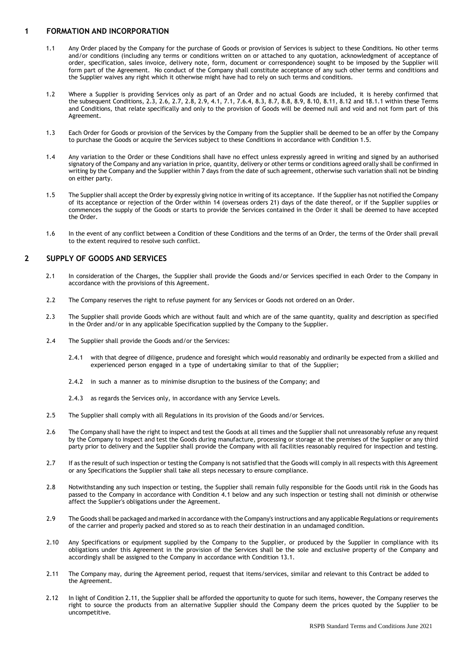## **1 FORMATION AND INCORPORATION**

- 1.1 Any Order placed by the Company for the purchase of Goods or provision of Services is subject to these Conditions. No other terms and/or conditions (including any terms or conditions written on or attached to any quotation, acknowledgment of acceptance of order, specification, sales invoice, delivery note, form, document or correspondence) sought to be imposed by the Supplier will form part of the Agreement. No conduct of the Company shall constitute acceptance of any such other terms and conditions and the Supplier waives any right which it otherwise might have had to rely on such terms and conditions.
- 1.2 Where a Supplier is providing Services only as part of an Order and no actual Goods are included, it is hereby confirmed that the subsequent Conditions, 2.3, 2.6, 2.7, 2.8, 2.9, 4.1, 7.1, 7.6.4, 8.3, 8.7, 8.8, 8.9, 8.10, 8.11, 8.12 and 18.1.1 within these Terms and Conditions, that relate specifically and only to the provision of Goods will be deemed null and void and not form part of this Agreement.
- 1.3 Each Order for Goods or provision of the Services by the Company from the Supplier shall be deemed to be an offer by the Company to purchase the Goods or acquire the Services subject to these Conditions in accordance with Condition 1.5.
- 1.4 Any variation to the Order or these Conditions shall have no effect unless expressly agreed in writing and signed by an authorised signatory of the Company and any variation in price, quantity, delivery or other terms or conditions agreed orally shall be confirmed in writing by the Company and the Supplier within 7 days from the date of such agreement, otherwise such variation shall not be binding on either party.
- 1.5 The Supplier shall accept the Order by expressly giving notice in writing of its acceptance. Ifthe Supplier has not notified the Company of its acceptance or rejection of the Order within 14 (overseas orders 21) days of the date thereof, or if the Supplier supplies or commences the supply of the Goods or starts to provide the Services contained in the Order it shall be deemed to have accepted the Order.
- 1.6 In the event of any conflict between a Condition of these Conditions and the terms of an Order, the terms of the Order shall prevail to the extent required to resolve such conflict.

## **2 SUPPLY OF GOODS AND SERVICES**

- 2.1 In consideration of the Charges, the Supplier shall provide the Goods and/or Services specified in each Order to the Company in accordance with the provisions of this Agreement.
- 2.2 The Company reserves the right to refuse payment for any Services or Goods not ordered on an Order.
- 2.3 The Supplier shall provide Goods which are without fault and which are of the same quantity, quality and description as specified in the Order and/or in any applicable Specification supplied by the Company to the Supplier.
- 2.4 The Supplier shall provide the Goods and/or the Services:
	- 2.4.1 with that degree of diligence, prudence and foresight which would reasonably and ordinarily be expected from a skilled and experienced person engaged in a type of undertaking similar to that of the Supplier;
	- 2.4.2 in such a manner as to minimise disruption to the business of the Company; and
	- 2.4.3 as regards the Services only, in accordance with any Service Levels.
- 2.5 The Supplier shall comply with all Regulations in its provision of the Goods and/or Services.
- 2.6 The Company shall have the right to inspect and test the Goods at all times and the Supplier shall not unreasonably refuse any request by the Company to inspect and test the Goods during manufacture, processing or storage at the premises of the Supplier or any third party prior to delivery and the Supplier shall provide the Company with all facilities reasonably required for inspection and testing.
- 2.7 If as the result of such inspection or testing the Company is not satisfied that the Goods will comply in all respects with this Agreement or any Specifications the Supplier shall take all steps necessary to ensure compliance.
- 2.8 Notwithstanding any such inspection or testing, the Supplier shall remain fully responsible for the Goods until risk in the Goods has passed to the Company in accordance with Condition 4.1 below and any such inspection or testing shall not diminish or otherwise affect the Supplier's obligations under the Agreement.
- 2.9 The Goods shall be packaged and marked in accordance with the Company's instructions and any applicable Regulations orrequirements of the carrier and properly packed and stored so as to reach their destination in an undamaged condition.
- 2.10 Any Specifications or equipment supplied by the Company to the Supplier, or produced by the Supplier in compliance with its obligations under this Agreement in the provision of the Services shall be the sole and exclusive property of the Company and accordingly shall be assigned to the Company in accordance with Condition 13.1.
- 2.11 The Company may, during the Agreement period, request that items/services, similar and relevant to this Contract be added to the Agreement.
- 2.12 In light of Condition 2.11, the Supplier shall be afforded the opportunity to quote for such items, however, the Company reserves the right to source the products from an alternative Supplier should the Company deem the prices quoted by the Supplier to be uncompetitive.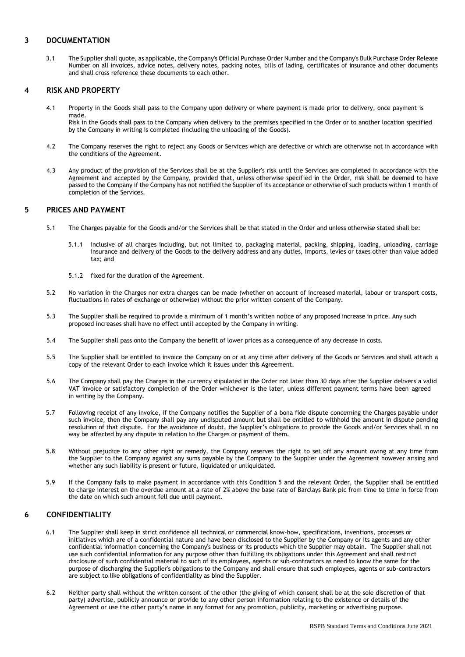## **3 DOCUMENTATION**

3.1 The Supplier shall quote, as applicable, the Company's Official Purchase Order Number and the Company's Bulk Purchase Order Release Number on all invoices, advice notes, delivery notes, packing notes, bills of lading, certificates of insurance and other documents and shall cross reference these documents to each other.

## **4 RISK AND PROPERTY**

4.1 Property in the Goods shall pass to the Company upon delivery or where payment is made prior to delivery, once payment is made.

Risk in the Goods shall pass to the Company when delivery to the premises specified in the Order or to another location specified by the Company in writing is completed (including the unloading of the Goods).

- 4.2 The Company reserves the right to reject any Goods or Services which are defective or which are otherwise not in accordance with the conditions of the Agreement.
- 4.3 Any product of the provision of the Services shall be at the Supplier's risk until the Services are completed in accordance with the Agreement and accepted by the Company, provided that, unless otherwise specified in the Order, risk shall be deemed to have passed to the Company if the Company has not notified the Supplier of its acceptance or otherwise of such products within 1 month of completion of the Services.

## **5 PRICES AND PAYMENT**

- 5.1 The Charges payable for the Goods and/or the Services shall be that stated in the Order and unless otherwise stated shall be:
	- 5.1.1 inclusive of all charges including, but not limited to, packaging material, packing, shipping, loading, unloading, carriage insurance and delivery of the Goods to the delivery address and any duties, imports, levies or taxes other than value added tax; and
	- 5.1.2 fixed for the duration of the Agreement.
- 5.2 No variation in the Charges nor extra charges can be made (whether on account of increased material, labour or transport costs, fluctuations in rates of exchange or otherwise) without the prior written consent of the Company.
- 5.3 The Supplier shall be required to provide a minimum of 1 month's written notice of any proposed increase in price. Any such proposed increases shall have no effect until accepted by the Company in writing.
- 5.4 The Supplier shall pass onto the Company the benefit of lower prices as a consequence of any decrease in costs.
- 5.5 The Supplier shall be entitled to invoice the Company on or at any time after delivery of the Goods or Services and shall attach a copy of the relevant Order to each invoice which it issues under this Agreement.
- 5.6 The Company shall pay the Charges in the currency stipulated in the Order not later than 30 days after the Supplier delivers a valid VAT invoice or satisfactory completion of the Order whichever is the later, unless different payment terms have been agreed in writing by the Company.
- 5.7 Following receipt of any invoice, if the Company notifies the Supplier of a bona fide dispute concerning the Charges payable under such invoice, then the Company shall pay any undisputed amount but shall be entitled to withhold the amount in dispute pending resolution of that dispute. For the avoidance of doubt, the Supplier's obligations to provide the Goods and/or Services shall in no way be affected by any dispute in relation to the Charges or payment of them.
- 5.8 Without prejudice to any other right or remedy, the Company reserves the right to set off any amount owing at any time from the Supplier to the Company against any sums payable by the Company to the Supplier under the Agreement however arising and whether any such liability is present or future, liquidated or unliquidated.
- 5.9 If the Company fails to make payment in accordance with this Condition 5 and the relevant Order, the Supplier shall be entitled to charge interest on the overdue amount at a rate of 2% above the base rate of Barclays Bank plc from time to time in force from the date on which such amount fell due until payment.

## **6 CONFIDENTIALITY**

- 6.1 The Supplier shall keep in strict confidence all technical or commercial know-how, specifications, inventions, processes or initiatives which are of a confidential nature and have been disclosed to the Supplier by the Company or its agents and any other confidential information concerning the Company's business or its products which the Supplier may obtain. The Supplier shall not use such confidential information for any purpose other than fulfilling its obligations under this Agreement and shall restrict disclosure of such confidential material to such of its employees, agents or sub-contractors as need to know the same for the purpose of discharging the Supplier's obligations to the Company and shall ensure that such employees, agents or sub-contractors are subject to like obligations of confidentiality as bind the Supplier.
- 6.2 Neither party shall without the written consent of the other (the giving of which consent shall be at the sole discretion of that party) advertise, publicly announce or provide to any other person information relating to the existence or details of the Agreement or use the other party's name in any format for any promotion, publicity, marketing or advertising purpose.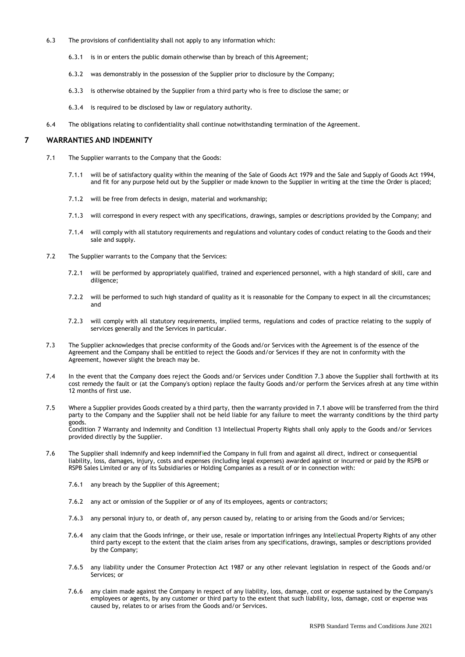- 6.3 The provisions of confidentiality shall not apply to any information which:
	- 6.3.1 is in or enters the public domain otherwise than by breach of this Agreement;
	- 6.3.2 was demonstrably in the possession of the Supplier prior to disclosure by the Company;
	- 6.3.3 is otherwise obtained by the Supplier from a third party who is free to disclose the same; or
	- 6.3.4 is required to be disclosed by law or regulatory authority.
- 6.4 The obligations relating to confidentiality shall continue notwithstanding termination of the Agreement.

## **7 WARRANTIES AND INDEMNITY**

- 7.1 The Supplier warrants to the Company that the Goods:
	- 7.1.1 will be of satisfactory quality within the meaning of the Sale of Goods Act 1979 and the Sale and Supply of Goods Act 1994, and fit for any purpose held out by the Supplier or made known to the Supplier in writing at the time the Order is placed;
	- 7.1.2 will be free from defects in design, material and workmanship;
	- 7.1.3 will correspond in every respect with any specifications, drawings, samples or descriptions provided by the Company; and
	- 7.1.4 will comply with all statutory requirements and regulations and voluntary codes of conduct relating to the Goods and their sale and supply.
- 7.2 The Supplier warrants to the Company that the Services:
	- 7.2.1 will be performed by appropriately qualified, trained and experienced personnel, with a high standard of skill, care and diligence;
	- 7.2.2 will be performed to such high standard of quality as it is reasonable for the Company to expect in all the circumstances; and
	- 7.2.3 will comply with all statutory requirements, implied terms, regulations and codes of practice relating to the supply of services generally and the Services in particular.
- 7.3 The Supplier acknowledges that precise conformity of the Goods and/or Services with the Agreement is of the essence of the Agreement and the Company shall be entitled to reject the Goods and/or Services if they are not in conformity with the Agreement, however slight the breach may be.
- 7.4 In the event that the Company does reject the Goods and/or Services under Condition 7.3 above the Supplier shall forthwith at its cost remedy the fault or (at the Company's option) replace the faulty Goods and/or perform the Services afresh at any time within 12 months of first use.
- 7.5 Where a Supplier provides Goods created by a third party, then the warranty provided in 7.1 above will be transferred from the third party to the Company and the Supplier shall not be held liable for any failure to meet the warranty conditions by the third party goods. Condition 7 Warranty and Indemnity and Condition 13 Intellectual Property Rights shall only apply to the Goods and/or Services provided directly by the Supplier.
- 7.6 The Supplier shall indemnify and keep indemnified the Company in full from and against all direct, indirect or consequential liability, loss, damages, injury, costs and expenses (including legal expenses) awarded against or incurred or paid by the RSPB or RSPB Sales Limited or any of its Subsidiaries or Holding Companies as a result of or in connection with:
	- 7.6.1 any breach by the Supplier of this Agreement;
	- 7.6.2 any act or omission of the Supplier or of any of its employees, agents or contractors;
	- 7.6.3 any personal injury to, or death of, any person caused by, relating to or arising from the Goods and/or Services;
	- 7.6.4 any claim that the Goods infringe, or their use, resale or importation infringes any Intellectual Property Rights of any other third party except to the extent that the claim arises from any specifications, drawings, samples or descriptions provided by the Company;
	- 7.6.5 any liability under the Consumer Protection Act 1987 or any other relevant legislation in respect of the Goods and/or Services; or
	- 7.6.6 any claim made against the Company in respect of any liability, loss, damage, cost or expense sustained by the Company's employees or agents, by any customer or third party to the extent that such liability, loss, damage, cost or expense was caused by, relates to or arises from the Goods and/or Services.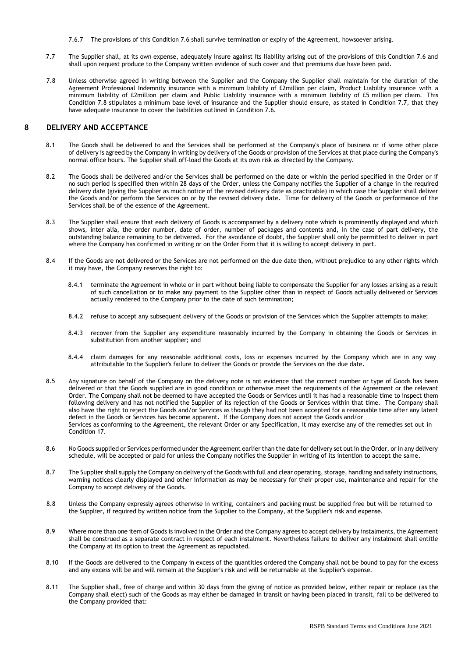- 7.6.7 The provisions of this Condition 7.6 shall survive termination or expiry of the Agreement, howsoever arising.
- 7.7 The Supplier shall, at its own expense, adequately insure against its liability arising out of the provisions of this Condition 7.6 and shall upon request produce to the Company written evidence of such cover and that premiums due have been paid.
- 7.8 Unless otherwise agreed in writing between the Supplier and the Company the Supplier shall maintain for the duration of the Agreement Professional Indemnity insurance with a minimum liability of £2million per claim, Product Liability insurance with a minimum liability of £2million per claim and Public Liability insurance with a minimum liability of £5 million per claim. This Condition 7.8 stipulates a minimum base level of insurance and the Supplier should ensure, as stated in Condition 7.7, that they have adequate insurance to cover the liabilities outlined in Condition 7.6.

## **8 DELIVERY AND ACCEPTANCE**

- 8.1 The Goods shall be delivered to and the Services shall be performed at the Company's place of business or if some other place of delivery is agreed by the Company in writing by delivery of the Goods or provision of the Services at that place during the Company's normal office hours. The Supplier shall off-load the Goods at its own risk as directed by the Company.
- 8.2 The Goods shall be delivered and/or the Services shall be performed on the date or within the period specified in the Order or if no such period is specified then within 28 days of the Order, unless the Company notifies the Supplier of a change in the required delivery date (giving the Supplier as much notice of the revised delivery date as practicable) in which case the Supplier shall deliver the Goods and/or perform the Services on or by the revised delivery date. Time for delivery of the Goods or performance of the Services shall be of the essence of the Agreement.
- 8.3 The Supplier shall ensure that each delivery of Goods is accompanied by a delivery note which is prominently displayed and which shows, inter alia, the order number, date of order, number of packages and contents and, in the case of part delivery, the outstanding balance remaining to be delivered. For the avoidance of doubt, the Supplier shall only be permitted to deliver in part where the Company has confirmed in writing or on the Order Form that it is willing to accept delivery in part.
- 8.4 If the Goods are not delivered or the Services are not performed on the due date then, without prejudice to any other rights which it may have, the Company reserves the right to:
	- 8.4.1 terminate the Agreement in whole or in part without being liable to compensate the Supplier for any losses arising as a result of such cancellation or to make any payment to the Supplier other than in respect of Goods actually delivered or Services actually rendered to the Company prior to the date of such termination;
	- 8.4.2 refuse to accept any subsequent delivery of the Goods or provision of the Services which the Supplier attempts to make;
	- 8.4.3 recover from the Supplier any expenditure reasonably incurred by the Company in obtaining the Goods or Services in substitution from another supplier; and
	- 8.4.4 claim damages for any reasonable additional costs, loss or expenses incurred by the Company which are in any way attributable to the Supplier's failure to deliver the Goods or provide the Services on the due date.
- 8.5 Any signature on behalf of the Company on the delivery note is not evidence that the correct number or type of Goods has been delivered or that the Goods supplied are in good condition or otherwise meet the requirements of the Agreement or the relevant Order. The Company shall not be deemed to have accepted the Goods or Services until it has had a reasonable time to inspect them following delivery and has not notified the Supplier of its rejection of the Goods or Services within that time. The Company shall also have the right to reject the Goods and/or Services as though they had not been accepted for a reasonable time after any latent defect in the Goods or Services has become apparent. If the Company does not accept the Goods and/or Services as conforming to the Agreement, the relevant Order or any Specification, it may exercise any of the remedies set out in Condition 17.
- 8.6 No Goods supplied or Services performed under the Agreement earlier than the date for delivery set out in the Order, or in any delivery schedule, will be accepted or paid for unless the Company notifies the Supplier in writing of its intention to accept the same.
- 8.7 The Supplier shall supply the Company on delivery of the Goods with full and clear operating, storage, handling and safety instructions, warning notices clearly displayed and other information as may be necessary for their proper use, maintenance and repair for the Company to accept delivery of the Goods.
- 8.8 Unless the Company expressly agrees otherwise in writing, containers and packing must be supplied free but will be returned to the Supplier, if required by written notice from the Supplier to the Company, at the Supplier's risk and expense.
- 8.9 Where more than one item of Goods is involved in the Order and the Company agrees to accept delivery by instalments, the Agreement shall be construed as a separate contract in respect of each instalment. Nevertheless failure to deliver any instalment shall entitle the Company at its option to treat the Agreement as repudiated.
- 8.10 If the Goods are delivered to the Company in excess of the quantities ordered the Company shall not be bound to pay for the excess and any excess will be and will remain at the Supplier's risk and will be returnable at the Supplier's expense.
- 8.11 The Supplier shall, free of charge and within 30 days from the giving of notice as provided below, either repair or replace (as the Company shall elect) such of the Goods as may either be damaged in transit or having been placed in transit, fail to be delivered to the Company provided that: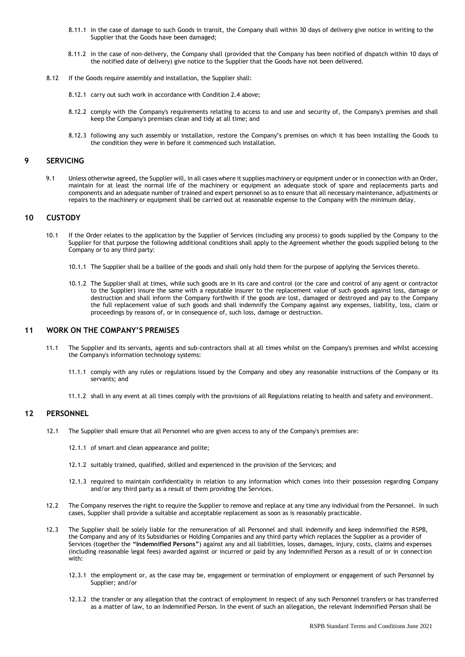- 8.11.1 in the case of damage to such Goods in transit, the Company shall within 30 days of delivery give notice in writing to the Supplier that the Goods have been damaged;
- 8.11.2 in the case of non-delivery, the Company shall (provided that the Company has been notified of dispatch within 10 days of the notified date of delivery) give notice to the Supplier that the Goods have not been delivered.
- 8.12 If the Goods require assembly and installation, the Supplier shall:
	- 8.12.1 carry out such work in accordance with Condition 2.4 above;
	- 8.12.2 comply with the Company's requirements relating to access to and use and security of, the Company's premises and shall keep the Company's premises clean and tidy at all time; and
	- 8.12.3 following any such assembly or installation, restore the Company's premises on which it has been installing the Goods to the condition they were in before it commenced such installation.

### **9 SERVICING**

9.1 Unless otherwise agreed, the Supplier will, in all cases where it supplies machinery or equipment under or in connection with an Order, maintain for at least the normal life of the machinery or equipment an adequate stock of spare and replacements parts and components and an adequate number of trained and expert personnel so as to ensure that all necessary maintenance, adjustments or repairs to the machinery or equipment shall be carried out at reasonable expense to the Company with the minimum delay.

## **10 CUSTODY**

- 10.1 If the Order relates to the application by the Supplier of Services (including any process) to goods supplied by the Company to the Supplier for that purpose the following additional conditions shall apply to the Agreement whether the goods supplied belong to the Company or to any third party:
	- 10.1.1 The Supplier shall be a baillee of the goods and shall only hold them for the purpose of applying the Services thereto.
	- 10.1.2 The Supplier shall at times, while such goods are in its care and control (or the care and control of any agent or contractor to the Supplier) insure the same with a reputable insurer to the replacement value of such goods against loss, damage or destruction and shall inform the Company forthwith if the goods are lost, damaged or destroyed and pay to the Company the full replacement value of such goods and shall indemnify the Company against any expenses, liability, loss, claim or proceedings by reasons of, or in consequence of, such loss, damage or destruction.

#### **11 WORK ON THE COMPANY'S PREMISES**

- 11.1 The Supplier and its servants, agents and sub-contractors shall at all times whilst on the Company's premises and whilst accessing the Company's information technology systems:
	- 11.1.1 comply with any rules or regulations issued by the Company and obey any reasonable instructions of the Company or its servants; and
	- 11.1.2 shall in any event at all times comply with the provisions of all Regulations relating to health and safety and environment.

#### **12 PERSONNEL**

- 12.1 The Supplier shall ensure that all Personnel who are given access to any of the Company's premises are:
	- 12.1.1 of smart and clean appearance and polite;
	- 12.1.2 suitably trained, qualified, skilled and experienced in the provision of the Services; and
	- 12.1.3 required to maintain confidentiality in relation to any information which comes into their possession regarding Company and/or any third party as a result of them providing the Services.
- 12.2 The Company reserves the right to require the Supplier to remove and replace at any time any individual from the Personnel. In such cases, Supplier shall provide a suitable and acceptable replacement as soon as is reasonably practicable.
- 12.3 The Supplier shall be solely liable for the remuneration of all Personnel and shall indemnify and keep indemnified the RSPB, the Company and any of its Subsidiaries or Holding Companies and any third party which replaces the Supplier as a provider of Services (together the **"Indemnified Persons"**) against any and all liabilities, losses, damages, injury, costs, claims and expenses (including reasonable legal fees) awarded against or incurred or paid by any Indemnified Person as a result of or in connection with:
	- 12.3.1 the employment or, as the case may be, engagement or termination of employment or engagement of such Personnel by Supplier; and/or
	- 12.3.2 the transfer or any allegation that the contract of employment in respect of any such Personnel transfers or has transferred as a matter of law, to an Indemnified Person. In the event of such an allegation, the relevant Indemnified Person shall be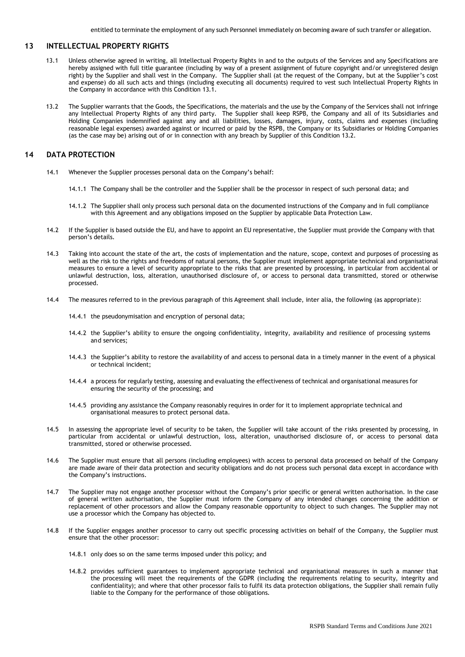entitled to terminate the employment of any such Personnel immediately on becoming aware of such transfer or allegation.

## **13 INTELLECTUAL PROPERTY RIGHTS**

- 13.1 Unless otherwise agreed in writing, all Intellectual Property Rights in and to the outputs of the Services and any Specifications are hereby assigned with full title guarantee (including by way of a present assignment of future copyright and/or unregistered design right) by the Supplier and shall vest in the Company. The Supplier shall (at the request of the Company, but at the Supplier's cost and expense) do all such acts and things (including executing all documents) required to vest such Intellectual Property Rights in the Company in accordance with this Condition 13.1.
- 13.2 The Supplier warrants that the Goods, the Specifications, the materials and the use by the Company of the Services shall not infringe any Intellectual Property Rights of any third party. The Supplier shall keep RSPB, the Company and all of its Subsidiaries and Holding Companies indemnified against any and all liabilities, losses, damages, injury, costs, claims and expenses (including reasonable legal expenses) awarded against or incurred or paid by the RSPB, the Company or its Subsidiaries or Holding Companies (as the case may be) arising out of or in connection with any breach by Supplier of this Condition 13.2.

## **14 DATA PROTECTION**

- 14.1 Whenever the Supplier processes personal data on the Company's behalf:
	- 14.1.1 The Company shall be the controller and the Supplier shall be the processor in respect of such personal data; and
	- 14.1.2 The Supplier shall only process such personal data on the documented instructions of the Company and in full compliance with this Agreement and any obligations imposed on the Supplier by applicable Data Protection Law.
- 14.2 If the Supplier is based outside the EU, and have to appoint an EU representative, the Supplier must provide the Company with that person's details.
- 14.3 Taking into account the state of the art, the costs of implementation and the nature, scope, context and purposes of processing as well as the risk to the rights and freedoms of natural persons, the Supplier must implement appropriate technical and organisational measures to ensure a level of security appropriate to the risks that are presented by processing, in particular from accidental or unlawful destruction, loss, alteration, unauthorised disclosure of, or access to personal data transmitted, stored or otherwise processed.
- 14.4 The measures referred to in the previous paragraph of this Agreement shall include, inter alia, the following (as appropriate):
	- 14.4.1 the pseudonymisation and encryption of personal data;
	- 14.4.2 the Supplier's ability to ensure the ongoing confidentiality, integrity, availability and resilience of processing systems and services;
	- 14.4.3 the Supplier's ability to restore the availability of and access to personal data in a timely manner in the event of a physical or technical incident;
	- 14.4.4 a process for regularly testing, assessing and evaluating the effectiveness of technical and organisational measures for ensuring the security of the processing; and
	- 14.4.5 providing any assistance the Company reasonably requires in order for it to implement appropriate technical and organisational measures to protect personal data.
- 14.5 In assessing the appropriate level of security to be taken, the Supplier will take account of the risks presented by processing, in particular from accidental or unlawful destruction, loss, alteration, unauthorised disclosure of, or access to personal data transmitted, stored or otherwise processed.
- 14.6 The Supplier must ensure that all persons (including employees) with access to personal data processed on behalf of the Company are made aware of their data protection and security obligations and do not process such personal data except in accordance with the Company's instructions.
- 14.7 The Supplier may not engage another processor without the Company's prior specific or general written authorisation. In the case of general written authorisation, the Supplier must inform the Company of any intended changes concerning the addition or replacement of other processors and allow the Company reasonable opportunity to object to such changes. The Supplier may not use a processor which the Company has objected to.
- 14.8 If the Supplier engages another processor to carry out specific processing activities on behalf of the Company, the Supplier must ensure that the other processor:
	- 14.8.1 only does so on the same terms imposed under this policy; and
	- 14.8.2 provides sufficient guarantees to implement appropriate technical and organisational measures in such a manner that the processing will meet the requirements of the GDPR (including the requirements relating to security, integrity and confidentiality); and where that other processor fails to fulfil its data protection obligations, the Supplier shall remain fully liable to the Company for the performance of those obligations.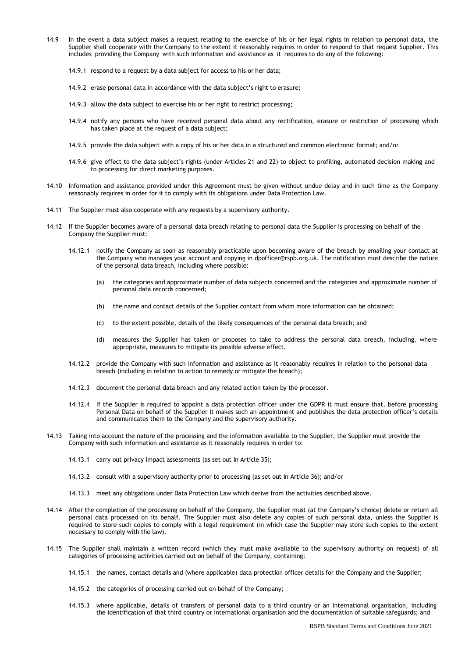- 14.9 In the event a data subject makes a request relating to the exercise of his or her legal rights in relation to personal data, the Supplier shall cooperate with the Company to the extent it reasonably requires in order to respond to that request Supplier. This includes providing the Company with such information and assistance as it requires to do any of the following:
	- 14.9.1 respond to a request by a data subject for access to his or her data;
	- 14.9.2 erase personal data in accordance with the data subject's right to erasure;
	- 14.9.3 allow the data subject to exercise his or her right to restrict processing;
	- 14.9.4 notify any persons who have received personal data about any rectification, erasure or restriction of processing which has taken place at the request of a data subject;
	- 14.9.5 provide the data subject with a copy of his or her data in a structured and common electronic format; and/or
	- 14.9.6 give effect to the data subject's rights (under Articles 21 and 22) to object to profiling, automated decision making and to processing for direct marketing purposes.
- 14.10 Information and assistance provided under this Agreement must be given without undue delay and in such time as the Company reasonably requires in order for it to comply with its obligations under Data Protection Law.
- 14.11 The Supplier must also cooperate with any requests by a supervisory authority.
- 14.12 If the Supplier becomes aware of a personal data breach relating to personal data the Supplier is processing on behalf of the Company the Supplier must:
	- 14.12.1 notify the Company as soon as reasonably practicable upon becoming aware of the breach by emailing your contact at the Company who manages your account and copying in [dpofficer@rspb.org.uk.](mailto:dpofficer@rspb.org.uk) The notification must describe the nature of the personal data breach, including where possible:
		- (a) the categories and approximate number of data subjects concerned and the categories and approximate number of personal data records concerned;
		- (b) the name and contact details of the Supplier contact from whom more information can be obtained;
		- (c) to the extent possible, details of the likely consequences of the personal data breach; and
		- (d) measures the Supplier has taken or proposes to take to address the personal data breach, including, where appropriate, measures to mitigate its possible adverse effect.
	- 14.12.2 provide the Company with such information and assistance as it reasonably requires in relation to the personal data breach (including in relation to action to remedy or mitigate the breach);
	- 14.12.3 document the personal data breach and any related action taken by the processor.
	- 14.12.4 If the Supplier is required to appoint a data protection officer under the GDPR it must ensure that, before processing Personal Data on behalf of the Supplier it makes such an appointment and publishes the data protection officer's details and communicates them to the Company and the supervisory authority.
- 14.13 Taking into account the nature of the processing and the information available to the Supplier, the Supplier must provide the Company with such information and assistance as it reasonably requires in order to:
	- 14.13.1 carry out privacy impact assessments (as set out in Article 35);
	- 14.13.2 consult with a supervisory authority prior to processing (as set out in Article 36); and/or
	- 14.13.3 meet any obligations under Data Protection Law which derive from the activities described above.
- 14.14 After the completion of the processing on behalf of the Company, the Supplier must (at the Company's choice) delete or return all personal data processed on its behalf. The Supplier must also delete any copies of such personal data, unless the Supplier is required to store such copies to comply with a legal requirement (in which case the Supplier may store such copies to the extent necessary to comply with the law).
- 14.15 The Supplier shall maintain a written record (which they must make available to the supervisory authority on request) of all categories of processing activities carried out on behalf of the Company, containing:
	- 14.15.1 the names, contact details and (where applicable) data protection officer details for the Company and the Supplier;
	- 14.15.2 the categories of processing carried out on behalf of the Company;
	- 14.15.3 where applicable, details of transfers of personal data to a third country or an international organisation, including the identification of that third country or international organisation and the documentation of suitable safeguards; and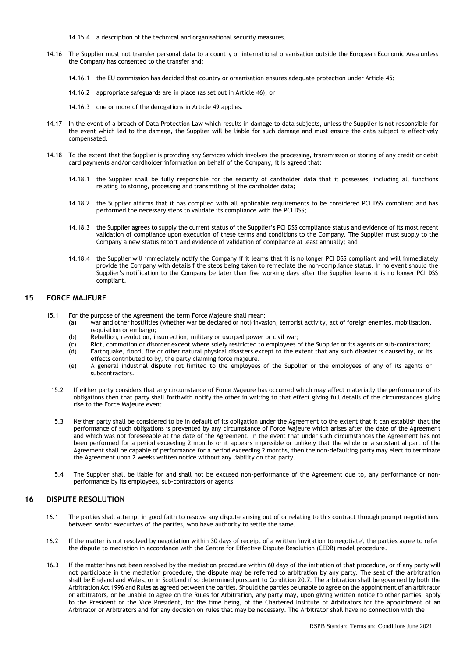- 14.15.4 a description of the technical and organisational security measures.
- 14.16 The Supplier must not transfer personal data to a country or international organisation outside the European Economic Area unless the Company has consented to the transfer and:
	- 14.16.1 the EU commission has decided that country or organisation ensures adequate protection under Article 45;
	- 14.16.2 appropriate safeguards are in place (as set out in Article 46); or
	- 14.16.3 one or more of the derogations in Article 49 applies.
- 14.17 In the event of a breach of Data Protection Law which results in damage to data subjects, unless the Supplier is not responsible for the event which led to the damage, the Supplier will be liable for such damage and must ensure the data subject is effectively compensated.
- 14.18 To the extent that the Supplier is providing any Services which involves the processing, transmission or storing of any credit or debit card payments and/or cardholder information on behalf of the Company, it is agreed that:
	- 14.18.1 the Supplier shall be fully responsible for the security of cardholder data that it possesses, including all functions relating to storing, processing and transmitting of the cardholder data;
	- 14.18.2 the Supplier affirms that it has complied with all applicable requirements to be considered PCI DSS compliant and has performed the necessary steps to validate its compliance with the PCI DSS;
	- 14.18.3 the Supplier agrees to supply the current status of the Supplier's PCI DSS compliance status and evidence of its most recent validation of compliance upon execution of these terms and conditions to the Company. The Supplier must supply to the Company a new status report and evidence of validation of compliance at least annually; and
	- 14.18.4 the Supplier will immediately notify the Company if it learns that it is no longer PCI DSS compliant and will immediately provide the Company with details f the steps being taken to remediate the non-compliance status. In no event should the Supplier's notification to the Company be later than five working days after the Supplier learns it is no longer PCI DSS compliant.

## **15 FORCE MAJEURE**

- 15.1 For the purpose of the Agreement the term Force Majeure shall mean:
	- (a) war and other hostilities (whether war be declared or not) invasion, terrorist activity, act of foreign enemies, mobilisation, requisition or embargo;
		- (b) Rebellion, revolution, insurrection, military or usurped power or civil war;<br>(c) Riot, commotion or disorder except where solely restricted to employees of
		- Riot, commotion or disorder except where solely restricted to employees of the Supplier or its agents or sub-contractors;
		- (d) Earthquake, flood, fire or other natural physical disasters except to the extent that any such disaster is caused by, or its effects contributed to by, the party claiming force majeure.
	- (e) A general industrial dispute not limited to the employees of the Supplier or the employees of any of its agents or subcontractors.
	- 15.2 If either party considers that any circumstance of Force Majeure has occurred which may affect materially the performance of its obligations then that party shall forthwith notify the other in writing to that effect giving full details of the circumstances giving rise to the Force Majeure event.
	- 15.3 Neither party shall be considered to be in default of its obligation under the Agreement to the extent that it can establish that the performance of such obligations is prevented by any circumstance of Force Majeure which arises after the date of the Agreement and which was not foreseeable at the date of the Agreement. In the event that under such circumstances the Agreement has not been performed for a period exceeding 2 months or it appears impossible or unlikely that the whole or a substantial part of the Agreement shall be capable of performance for a period exceeding 2 months, then the non-defaulting party may elect to terminate the Agreement upon 2 weeks written notice without any liability on that party.
	- 15.4 The Supplier shall be liable for and shall not be excused non-performance of the Agreement due to, any performance or nonperformance by its employees, sub-contractors or agents.

### **16 DISPUTE RESOLUTION**

- 16.1 The parties shall attempt in good faith to resolve any dispute arising out of or relating to this contract through prompt negotiations between senior executives of the parties, who have authority to settle the same.
- 16.2 If the matter is not resolved by negotiation within 30 days of receipt of a written 'invitation to negotiate', the parties agree to refer the dispute to mediation in accordance with the Centre for Effective Dispute Resolution (CEDR) model procedure.
- 16.3 If the matter has not been resolved by the mediation procedure within 60 days of the initiation of that procedure, or if any party will not participate in the mediation procedure, the dispute may be referred to arbitration by any party. The seat of the arbitration shall be England and Wales, or in Scotland if so determined pursuant to Condition 20.7. The arbitration shall be governed by both the Arbitration Act 1996 and Rules as agreed between the parties. Should the parties be unable to agree on the appointment of an arbitrator or arbitrators, or be unable to agree on the Rules for Arbitration, any party may, upon giving written notice to other parties, apply to the President or the Vice President, for the time being, of the Chartered Institute of Arbitrators for the appointment of an Arbitrator or Arbitrators and for any decision on rules that may be necessary. The Arbitrator shall have no connection with the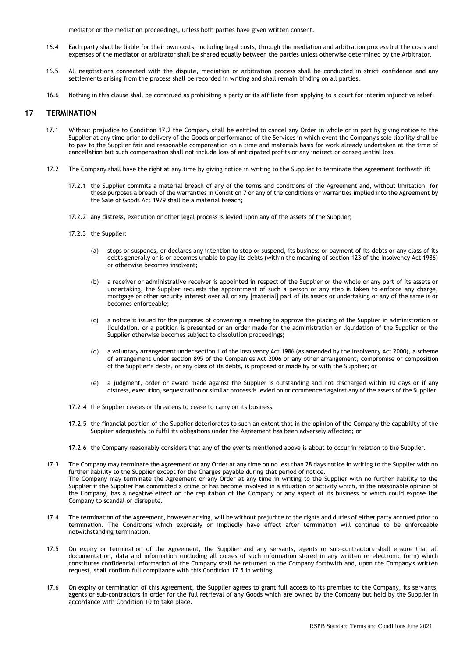mediator or the mediation proceedings, unless both parties have given written consent.

- 16.4 Each party shall be liable for their own costs, including legal costs, through the mediation and arbitration process but the costs and expenses of the mediator or arbitrator shall be shared equally between the parties unless otherwise determined by the Arbitrator.
- 16.5 All negotiations connected with the dispute, mediation or arbitration process shall be conducted in strict confidence and any settlements arising from the process shall be recorded in writing and shall remain binding on all parties.
- 16.6 Nothing in this clause shall be construed as prohibiting a party or its affiliate from applying to a court for interim injunctive relief.

#### **17 TERMINATION**

- 17.1 Without prejudice to Condition 17.2 the Company shall be entitled to cancel any Order in whole or in part by giving notice to the Supplier at any time prior to delivery of the Goods or performance of the Services in which event the Company's sole liability shall be to pay to the Supplier fair and reasonable compensation on a time and materials basis for work already undertaken at the time of cancellation but such compensation shall not include loss of anticipated profits or any indirect or consequential loss.
- 17.2 The Company shall have the right at any time by giving notice in writing to the Supplier to terminate the Agreement forthwith if:
	- 17.2.1 the Supplier commits a material breach of any of the terms and conditions of the Agreement and, without limitation, for these purposes a breach of the warranties in Condition 7 or any of the conditions or warranties implied into the Agreement by the Sale of Goods Act 1979 shall be a material breach;
	- 17.2.2 any distress, execution or other legal process is levied upon any of the assets of the Supplier;
	- 17.2.3 the Supplier:
		- (a) stops or suspends, or declares any intention to stop or suspend, its business or payment of its debts or any class of its debts generally or is or becomes unable to pay its debts (within the meaning of section 123 of the Insolvency Act 1986) or otherwise becomes insolvent;
		- (b) a receiver or administrative receiver is appointed in respect of the Supplier or the whole or any part of its assets or undertaking, the Supplier requests the appointment of such a person or any step is taken to enforce any charge, mortgage or other security interest over all or any [material] part of its assets or undertaking or any of the same is or becomes enforceable;
		- (c) a notice is issued for the purposes of convening a meeting to approve the placing of the Supplier in administration or liquidation, or a petition is presented or an order made for the administration or liquidation of the Supplier or the Supplier otherwise becomes subject to dissolution proceedings;
		- (d) a voluntary arrangement under section 1 of the Insolvency Act 1986 (as amended by the Insolvency Act 2000), a scheme of arrangement under section 895 of the Companies Act 2006 or any other arrangement, compromise or composition of the Supplier's debts, or any class of its debts, is proposed or made by or with the Supplier; or
		- (e) a judgment, order or award made against the Supplier is outstanding and not discharged within 10 days or if any distress, execution, sequestration or similar process is levied on or commenced against any of the assets of the Supplier.
	- 17.2.4 the Supplier ceases or threatens to cease to carry on its business;
	- 17.2.5 the financial position of the Supplier deteriorates to such an extent that in the opinion of the Company the capability of the Supplier adequately to fulfil its obligations under the Agreement has been adversely affected; or
	- 17.2.6 the Company reasonably considers that any of the events mentioned above is about to occur in relation to the Supplier.
- 17.3 The Company may terminate the Agreement or any Order at any time on no less than 28 days notice in writing to the Supplier with no further liability to the Supplier except for the Charges payable during that period of notice. The Company may terminate the Agreement or any Order at any time in writing to the Supplier with no further liability to the Supplier if the Supplier has committed a crime or has become involved in a situation or activity which, in the reasonable opinion of the Company, has a negative effect on the reputation of the Company or any aspect of its business or which could expose the Company to scandal or disrepute.
- 17.4 The termination of the Agreement, however arising, will be without prejudice to the rights and duties of either party accrued prior to termination. The Conditions which expressly or impliedly have effect after termination will continue to be enforceable notwithstanding termination.
- 17.5 On expiry or termination of the Agreement, the Supplier and any servants, agents or sub-contractors shall ensure that all documentation, data and information (including all copies of such information stored in any written or electronic form) which constitutes confidential information of the Company shall be returned to the Company forthwith and, upon the Company's written request, shall confirm full compliance with this Condition 17.5 in writing.
- 17.6 On expiry or termination of this Agreement, the Supplier agrees to grant full access to its premises to the Company, its servants, agents or sub-contractors in order for the full retrieval of any Goods which are owned by the Company but held by the Supplier in accordance with Condition 10 to take place.